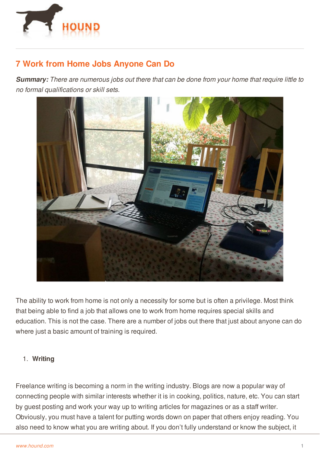

# **7 Work from Home Jobs Anyone Can Do**

*Summary: There are numerous jobs out there that can be done from your home that require little to no formal qualifications or skill sets.*



The ability to work from home is not only a necessity for some but is often a privilege. Most think that being able to find a job that allows one to work from home requires special skills and education. This is not the case. There are a number of jobs out there that just about anyone can do where just a basic amount of training is required.

# 1. **Writing**

Freelance writing is becoming a norm in the writing industry. Blogs are now a popular way of [connecting](http://www.hound.com/) people with similar interests whether it is in cooking, politics, nature, etc. You can start by guest posting and work your way up to writing articles for magazines or as a staff writer. Obviously, you must have a talent for putting words down on paper that others enjoy reading. You also need to know what you are writing about. If you don't fully understand or know the subject, it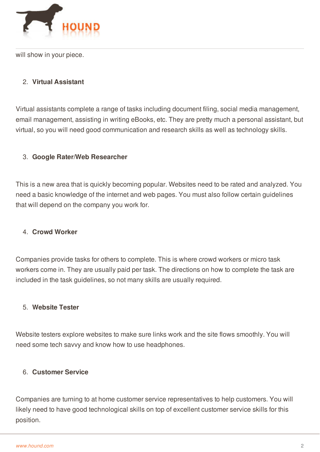

will show in your piece.

# 2. **Virtual Assistant**

Virtual assistants complete a range of tasks including document filing, social media management, email management, assisting in writing eBooks, etc. They are pretty much a personal assistant, but virtual, so you will need good communication and research skills as well as technology skills.

## 3. **Google Rater/Web Researcher**

This is a new area that is quickly becoming popular. Websites need to be rated and analyzed. You need a basic knowledge of the internet and web pages. You must also follow certain guidelines that will depend on the company you work for.

#### 4. **Crowd Worker**

Companies provide tasks for others to complete. This is where crowd workers or micro task workers come in. They are usually paid per task. The directions on how to complete the task are included in the task guidelines, so not many skills are usually required.

## 5. **Website Tester**

Website testers explore websites to make sure links work and the site flows smoothly. You will need some tech savvy and know how to use headphones.

#### 6. **Customer Service**

[Companies](http://www.hound.com/) are turning to at home customer service representatives to help customers. You will likely need to have good technological skills on top of excellent customer service skills for this position.